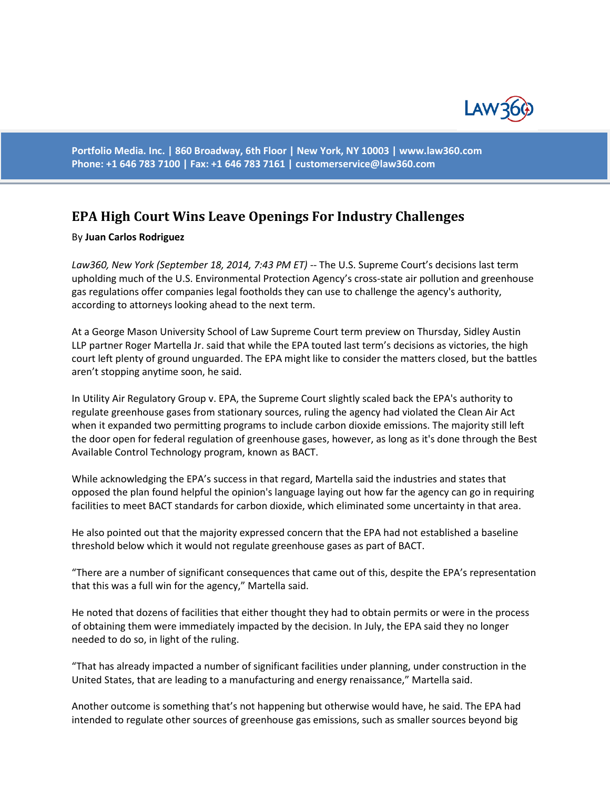

**Portfolio Media. Inc. | 860 Broadway, 6th Floor | New York, NY 10003 | www.law360.com Phone: +1 646 783 7100 | Fax: +1 646 783 7161 | [customerservice@law360.com](mailto:customerservice@law360.com)**

## **EPA High Court Wins Leave Openings For Industry Challenges**

## By **Juan Carlos Rodriguez**

*Law360, New York (September 18, 2014, 7:43 PM ET)* -- The U.S. Supreme Court's decisions last term upholding much of the U.S. Environmental Protection Agency's cross-state air pollution and greenhouse gas regulations offer companies legal footholds they can use to challenge the agency's authority, according to attorneys looking ahead to the next term.

At a George Mason University School of Law Supreme Court term preview on Thursday, Sidley Austin LLP partner Roger Martella Jr. said that while the EPA touted last term's decisions as victories, the high court left plenty of ground unguarded. The EPA might like to consider the matters closed, but the battles aren't stopping anytime soon, he said.

In Utility Air Regulatory Group v. EPA, the Supreme Court slightly scaled back the EPA's authority to regulate greenhouse gases from stationary sources, ruling the agency had violated the Clean Air Act when it expanded two permitting programs to include carbon dioxide emissions. The majority still left the door open for federal regulation of greenhouse gases, however, as long as it's done through the Best Available Control Technology program, known as BACT.

While acknowledging the EPA's success in that regard, Martella said the industries and states that opposed the plan found helpful the opinion's language laying out how far the agency can go in requiring facilities to meet BACT standards for carbon dioxide, which eliminated some uncertainty in that area.

He also pointed out that the majority expressed concern that the EPA had not established a baseline threshold below which it would not regulate greenhouse gases as part of BACT.

"There are a number of significant consequences that came out of this, despite the EPA's representation that this was a full win for the agency," Martella said.

He noted that dozens of facilities that either thought they had to obtain permits or were in the process of obtaining them were immediately impacted by the decision. In July, the EPA said they no longer needed to do so, in light of the ruling.

"That has already impacted a number of significant facilities under planning, under construction in the United States, that are leading to a manufacturing and energy renaissance," Martella said.

Another outcome is something that's not happening but otherwise would have, he said. The EPA had intended to regulate other sources of greenhouse gas emissions, such as smaller sources beyond big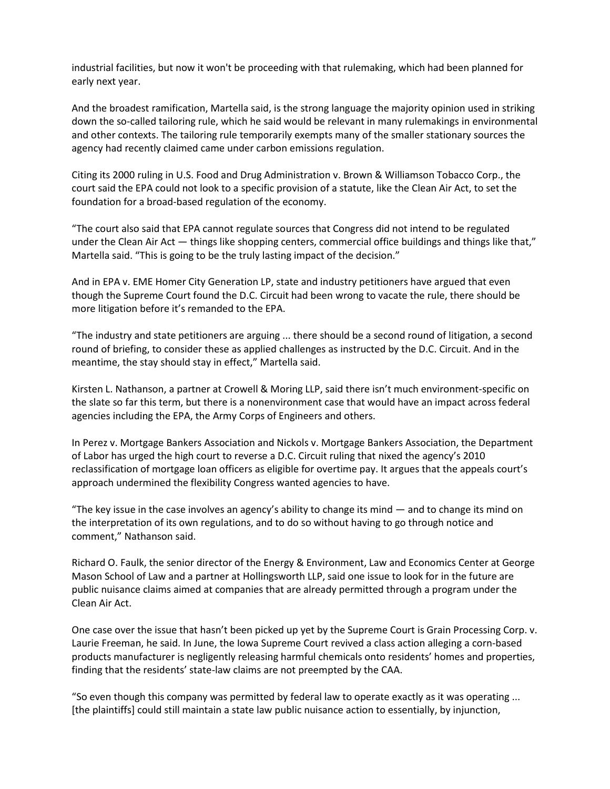industrial facilities, but now it won't be proceeding with that rulemaking, which had been planned for early next year.

And the broadest ramification, Martella said, is the strong language the majority opinion used in striking down the so-called tailoring rule, which he said would be relevant in many rulemakings in environmental and other contexts. The tailoring rule temporarily exempts many of the smaller stationary sources the agency had recently claimed came under carbon emissions regulation.

Citing its 2000 ruling in U.S. Food and Drug Administration v. Brown & Williamson Tobacco Corp., the court said the EPA could not look to a specific provision of a statute, like the Clean Air Act, to set the foundation for a broad-based regulation of the economy.

"The court also said that EPA cannot regulate sources that Congress did not intend to be regulated under the Clean Air Act — things like shopping centers, commercial office buildings and things like that," Martella said. "This is going to be the truly lasting impact of the decision."

And in EPA v. EME Homer City Generation LP, state and industry petitioners have argued that even though the Supreme Court found the D.C. Circuit had been wrong to vacate the rule, there should be more litigation before it's remanded to the EPA.

"The industry and state petitioners are arguing ... there should be a second round of litigation, a second round of briefing, to consider these as applied challenges as instructed by the D.C. Circuit. And in the meantime, the stay should stay in effect," Martella said.

Kirsten L. Nathanson, a partner at Crowell & Moring LLP, said there isn't much environment-specific on the slate so far this term, but there is a nonenvironment case that would have an impact across federal agencies including the EPA, the Army Corps of Engineers and others.

In Perez v. Mortgage Bankers Association and Nickols v. Mortgage Bankers Association, the Department of Labor has urged the high court to reverse a D.C. Circuit ruling that nixed the agency's 2010 reclassification of mortgage loan officers as eligible for overtime pay. It argues that the appeals court's approach undermined the flexibility Congress wanted agencies to have.

"The key issue in the case involves an agency's ability to change its mind  $-$  and to change its mind on the interpretation of its own regulations, and to do so without having to go through notice and comment," Nathanson said.

Richard O. Faulk, the senior director of the Energy & Environment, Law and Economics Center at George Mason School of Law and a partner at Hollingsworth LLP, said one issue to look for in the future are public nuisance claims aimed at companies that are already permitted through a program under the Clean Air Act.

One case over the issue that hasn't been picked up yet by the Supreme Court is Grain Processing Corp. v. Laurie Freeman, he said. In June, the Iowa Supreme Court revived a class action alleging a corn-based products manufacturer is negligently releasing harmful chemicals onto residents' homes and properties, finding that the residents' state-law claims are not preempted by the CAA.

"So even though this company was permitted by federal law to operate exactly as it was operating ... [the plaintiffs] could still maintain a state law public nuisance action to essentially, by injunction,